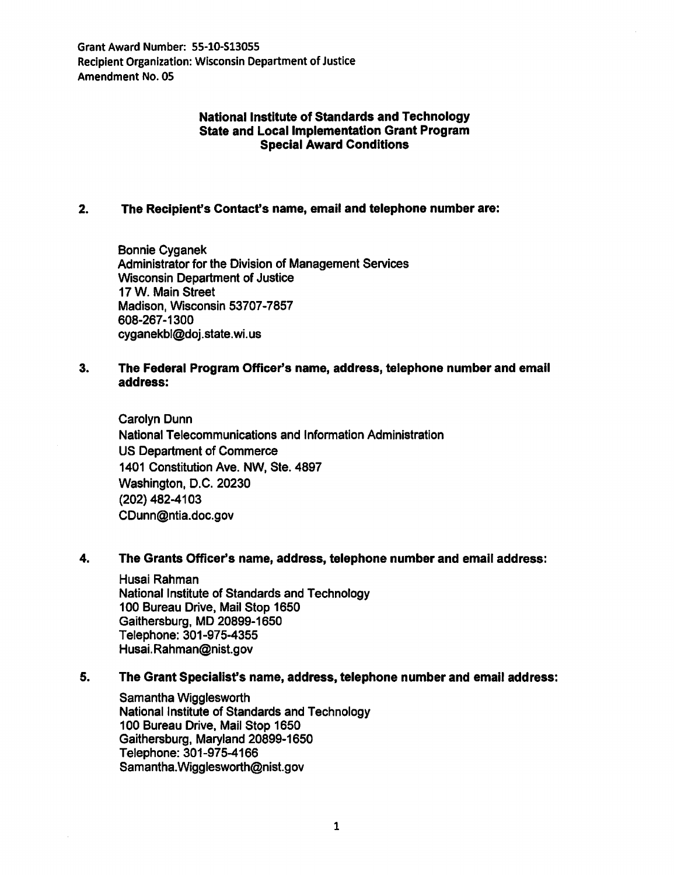Grant Award Number: 55-10-513055 Recipient Organization: Wisconsin Department of Justice Amendment No. OS

### National Institute of Standards and Technology State and Local Implementation Grant Program Special Award Conditions

## 2. The Recipient's Contact's name, email and telephone number are:

Bonnie Cyganek Administrator for the Division of Management Services Wisconsin Department of Justice 17 W. Main Street Madison, Wisconsin 53707-7857 608-267-1300 cyganekbl@doj.state. wi. us

## 3. The Federal Program Officer's name, address, telephone number and email address:

Carolyn Dunn National Telecommunications and Information Administration US Department of Commerce 1401 Constitution Ave. NW, Ste. 4897 Washington, D.C. 20230 (202) 482-4103 CDunn@ntia.doc.gov

### 4. The Grants Officer's name, address, telephone number and email address:

Husai Rahman National Institute of Standards and Technology 100 Bureau Drive, Mail Stop 1650 Gaithersburg, MD 20899-1650 Telephone: 301-975-4355 Husai. Rahman@nist.gov

### 5. The Grant Specialist's name, address, telephone number and email address:

Samantha Wigglesworth National Institute of Standards and Technology 100 Bureau Drive, Mail Stop 1650 Gaithersburg, Maryland 20899-1650 Telephone: 301-975-4166 Samantha. Wigglesworth@nist.gov